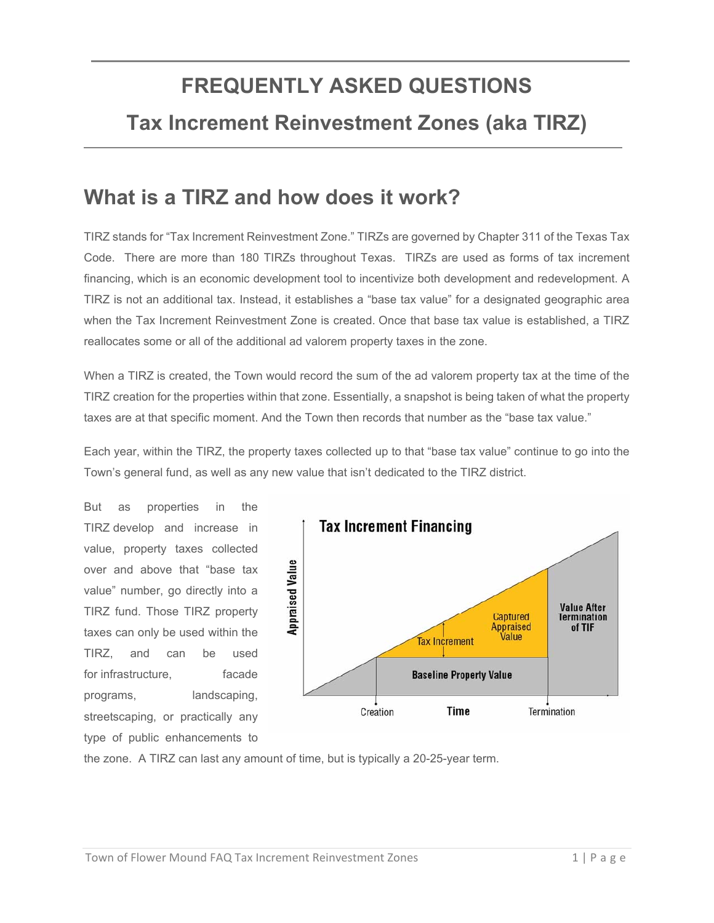# **FREQUENTLY ASKED QUESTIONS**

#### **Tax Increment Reinvestment Zones (aka TIRZ)**

#### **What is a TIRZ and how does it work?**

TIRZ stands for "Tax Increment Reinvestment Zone." TIRZs are governed by Chapter 311 of the Texas Tax Code. There are more than 180 TIRZs throughout Texas. TIRZs are used as forms of tax increment financing, which is an economic development tool to incentivize both development and redevelopment. A TIRZ is not an additional tax. Instead, it establishes a "base tax value" for a designated geographic area when the Tax Increment Reinvestment Zone is created. Once that base tax value is established, a TIRZ reallocates some or all of the additional ad valorem property taxes in the zone.

When a TIRZ is created, the Town would record the sum of the ad valorem property tax at the time of the TIRZ creation for the properties within that zone. Essentially, a snapshot is being taken of what the property taxes are at that specific moment. And the Town then records that number as the "base tax value."

Each year, within the TIRZ, the property taxes collected up to that "base tax value" continue to go into the Town's general fund, as well as any new value that isn't dedicated to the TIRZ district.

But as properties in the TIRZ develop and increase in value, property taxes collected over and above that "base tax value" number, go directly into a TIRZ fund. Those TIRZ property taxes can only be used within the TIRZ, and can be used for infrastructure. The facade programs, landscaping, streetscaping, or practically any type of public enhancements to



the zone. A TIRZ can last any amount of time, but is typically a 20-25-year term.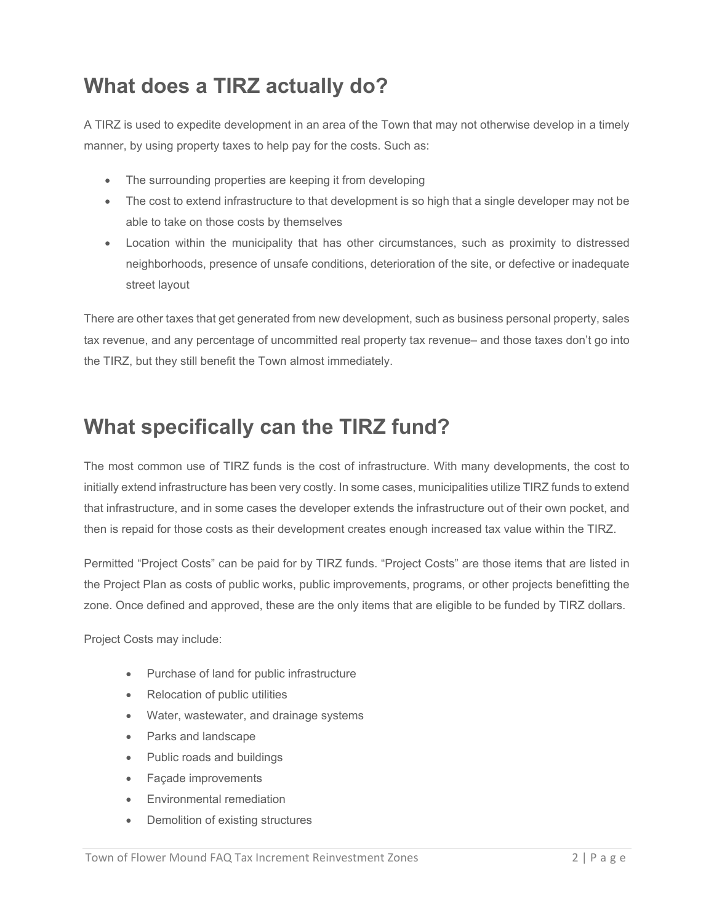## **What does a TIRZ actually do?**

A TIRZ is used to expedite development in an area of the Town that may not otherwise develop in a timely manner, by using property taxes to help pay for the costs. Such as:

- The surrounding properties are keeping it from developing
- The cost to extend infrastructure to that development is so high that a single developer may not be able to take on those costs by themselves
- Location within the municipality that has other circumstances, such as proximity to distressed neighborhoods, presence of unsafe conditions, deterioration of the site, or defective or inadequate street layout

There are other taxes that get generated from new development, such as business personal property, sales tax revenue, and any percentage of uncommitted real property tax revenue– and those taxes don't go into the TIRZ, but they still benefit the Town almost immediately.

## **What specifically can the TIRZ fund?**

The most common use of TIRZ funds is the cost of infrastructure. With many developments, the cost to initially extend infrastructure has been very costly. In some cases, municipalities utilize TIRZ funds to extend that infrastructure, and in some cases the developer extends the infrastructure out of their own pocket, and then is repaid for those costs as their development creates enough increased tax value within the TIRZ.

Permitted "Project Costs" can be paid for by TIRZ funds. "Project Costs" are those items that are listed in the Project Plan as costs of public works, public improvements, programs, or other projects benefitting the zone. Once defined and approved, these are the only items that are eligible to be funded by TIRZ dollars.

Project Costs may include:

- Purchase of land for public infrastructure
- Relocation of public utilities
- Water, wastewater, and drainage systems
- Parks and landscape
- Public roads and buildings
- Façade improvements
- Environmental remediation
- Demolition of existing structures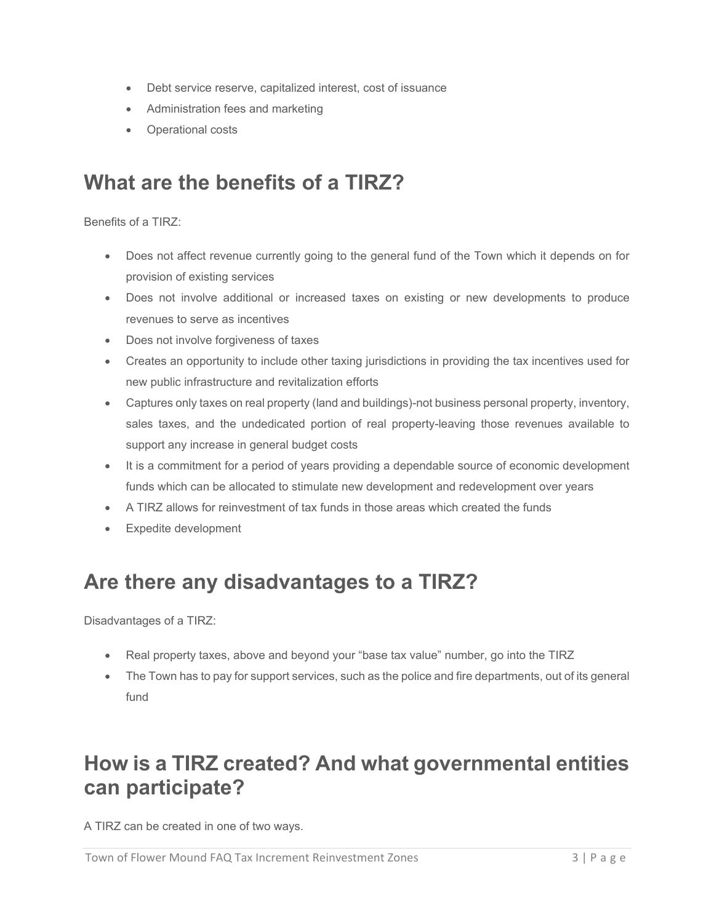- Debt service reserve, capitalized interest, cost of issuance
- Administration fees and marketing
- Operational costs

### **What are the benefits of a TIRZ?**

Benefits of a TIRZ:

- Does not affect revenue currently going to the general fund of the Town which it depends on for provision of existing services
- Does not involve additional or increased taxes on existing or new developments to produce revenues to serve as incentives
- Does not involve forgiveness of taxes
- Creates an opportunity to include other taxing jurisdictions in providing the tax incentives used for new public infrastructure and revitalization efforts
- Captures only taxes on real property (land and buildings)-not business personal property, inventory, sales taxes, and the undedicated portion of real property-leaving those revenues available to support any increase in general budget costs
- It is a commitment for a period of years providing a dependable source of economic development funds which can be allocated to stimulate new development and redevelopment over years
- A TIRZ allows for reinvestment of tax funds in those areas which created the funds
- Expedite development

### **Are there any disadvantages to a TIRZ?**

Disadvantages of a TIRZ:

- Real property taxes, above and beyond your "base tax value" number, go into the TIRZ
- The Town has to pay for support services, such as the police and fire departments, out of its general fund

### **How is a TIRZ created? And what governmental entities can participate?**

A TIRZ can be created in one of two ways.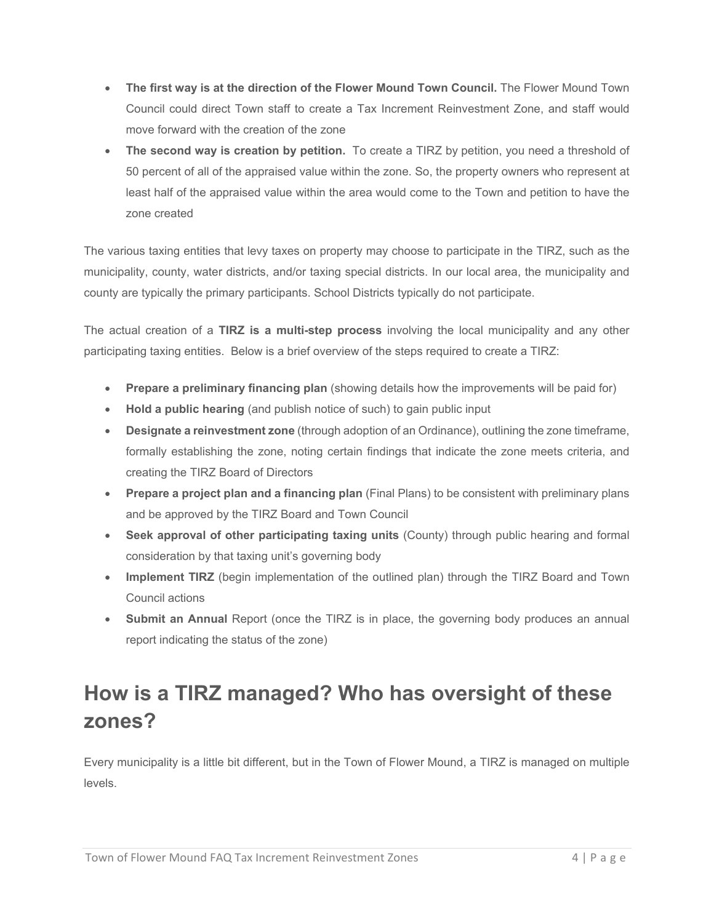- **The first way is at the direction of the Flower Mound Town Council.** The Flower Mound Town Council could direct Town staff to create a Tax Increment Reinvestment Zone, and staff would move forward with the creation of the zone
- **The second way is creation by petition.** To create a TIRZ by petition, you need a threshold of 50 percent of all of the appraised value within the zone. So, the property owners who represent at least half of the appraised value within the area would come to the Town and petition to have the zone created

The various taxing entities that levy taxes on property may choose to participate in the TIRZ, such as the municipality, county, water districts, and/or taxing special districts. In our local area, the municipality and county are typically the primary participants. School Districts typically do not participate.

The actual creation of a **TIRZ is a multi-step process** involving the local municipality and any other participating taxing entities. Below is a brief overview of the steps required to create a TIRZ:

- **Prepare a preliminary financing plan** (showing details how the improvements will be paid for)
- **Hold a public hearing** (and publish notice of such) to gain public input
- **Designate a reinvestment zone** (through adoption of an Ordinance), outlining the zone timeframe, formally establishing the zone, noting certain findings that indicate the zone meets criteria, and creating the TIRZ Board of Directors
- **Prepare a project plan and a financing plan** (Final Plans) to be consistent with preliminary plans and be approved by the TIRZ Board and Town Council
- **Seek approval of other participating taxing units** (County) through public hearing and formal consideration by that taxing unit's governing body
- **Implement TIRZ** (begin implementation of the outlined plan) through the TIRZ Board and Town Council actions
- **Submit an Annual** Report (once the TIRZ is in place, the governing body produces an annual report indicating the status of the zone)

# **How is a TIRZ managed? Who has oversight of these zones?**

Every municipality is a little bit different, but in the Town of Flower Mound, a TIRZ is managed on multiple levels.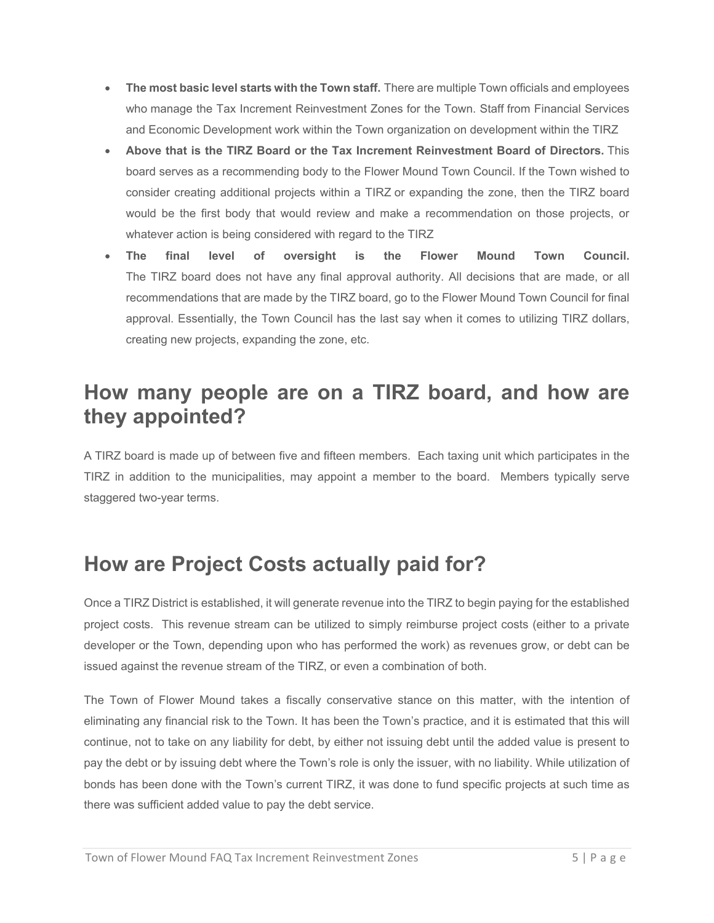- **The most basic level starts with the Town staff.** There are multiple Town officials and employees who manage the Tax Increment Reinvestment Zones for the Town. Staff from Financial Services and Economic Development work within the Town organization on development within the TIRZ
- **Above that is the TIRZ Board or the Tax Increment Reinvestment Board of Directors.** This board serves as a recommending body to the Flower Mound Town Council. If the Town wished to consider creating additional projects within a TIRZ or expanding the zone, then the TIRZ board would be the first body that would review and make a recommendation on those projects, or whatever action is being considered with regard to the TIRZ
- **The final level of oversight is the Flower Mound Town Council.** The TIRZ board does not have any final approval authority. All decisions that are made, or all recommendations that are made by the TIRZ board, go to the Flower Mound Town Council for final approval. Essentially, the Town Council has the last say when it comes to utilizing TIRZ dollars, creating new projects, expanding the zone, etc.

#### **How many people are on a TIRZ board, and how are they appointed?**

A TIRZ board is made up of between five and fifteen members. Each taxing unit which participates in the TIRZ in addition to the municipalities, may appoint a member to the board. Members typically serve staggered two-year terms.

## **How are Project Costs actually paid for?**

Once a TIRZ District is established, it will generate revenue into the TIRZ to begin paying for the established project costs. This revenue stream can be utilized to simply reimburse project costs (either to a private developer or the Town, depending upon who has performed the work) as revenues grow, or debt can be issued against the revenue stream of the TIRZ, or even a combination of both.

The Town of Flower Mound takes a fiscally conservative stance on this matter, with the intention of eliminating any financial risk to the Town. It has been the Town's practice, and it is estimated that this will continue, not to take on any liability for debt, by either not issuing debt until the added value is present to pay the debt or by issuing debt where the Town's role is only the issuer, with no liability. While utilization of bonds has been done with the Town's current TIRZ, it was done to fund specific projects at such time as there was sufficient added value to pay the debt service.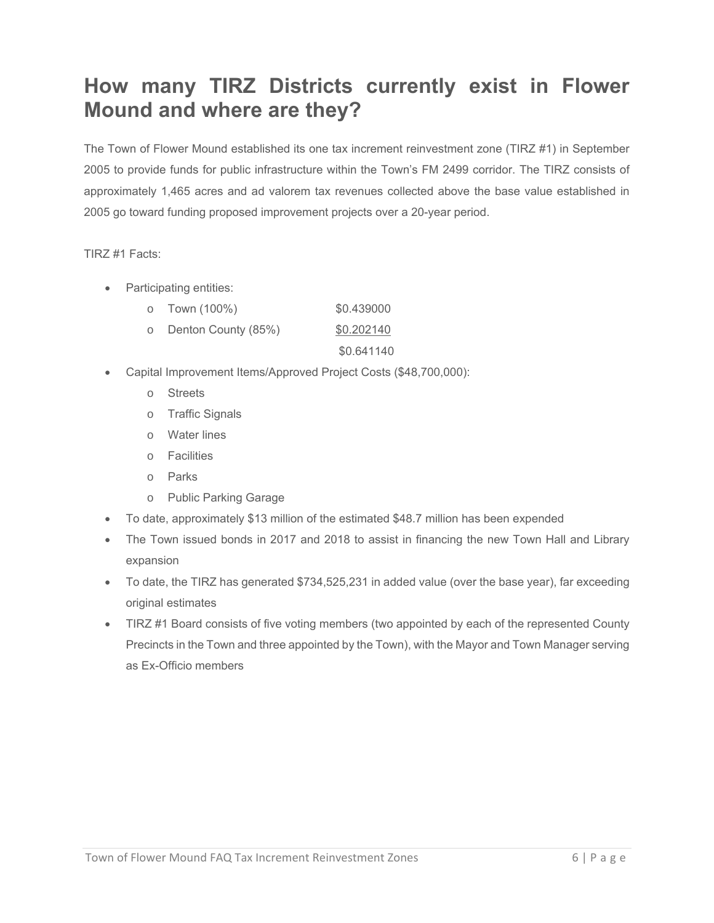## **How many TIRZ Districts currently exist in Flower Mound and where are they?**

The Town of Flower Mound established its one tax increment reinvestment zone (TIRZ #1) in September 2005 to provide funds for public infrastructure within the Town's FM 2499 corridor. The TIRZ consists of approximately 1,465 acres and ad valorem tax revenues collected above the base value established in 2005 go toward funding proposed improvement projects over a 20-year period.

TIRZ #1 Facts:

- Participating entities:
	- o Town (100%) \$0.439000 o Denton County (85%) \$0.202140
		- \$0.641140
- Capital Improvement Items/Approved Project Costs (\$48,700,000):
	- o Streets
	- o Traffic Signals
	- o Water lines
	- o Facilities
	- o Parks
	- o Public Parking Garage
- To date, approximately \$13 million of the estimated \$48.7 million has been expended
- The Town issued bonds in 2017 and 2018 to assist in financing the new Town Hall and Library expansion
- To date, the TIRZ has generated \$734,525,231 in added value (over the base year), far exceeding original estimates
- TIRZ #1 Board consists of five voting members (two appointed by each of the represented County Precincts in the Town and three appointed by the Town), with the Mayor and Town Manager serving as Ex-Officio members